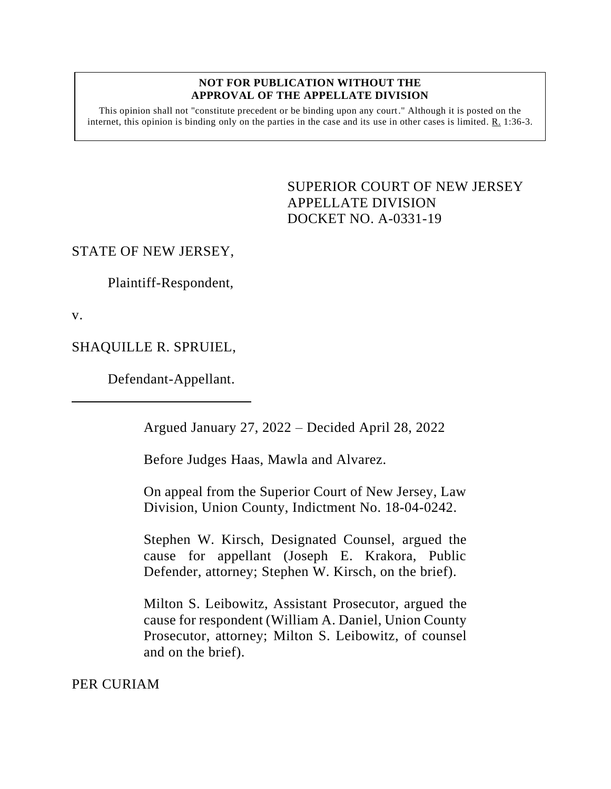#### **NOT FOR PUBLICATION WITHOUT THE APPROVAL OF THE APPELLATE DIVISION**

This opinion shall not "constitute precedent or be binding upon any court." Although it is posted on the internet, this opinion is binding only on the parties in the case and its use in other cases is limited.  $R_1$  1:36-3.

> <span id="page-0-0"></span>SUPERIOR COURT OF NEW JERSEY APPELLATE DIVISION DOCKET NO. A-0331-19

# STATE OF NEW JERSEY,

Plaintiff-Respondent,

v.

SHAQUILLE R. SPRUIEL,

Defendant-Appellant.

Argued January 27, 2022 – Decided April 28, 2022

Before Judges Haas, Mawla and Alvarez.

On appeal from the Superior Court of New Jersey, Law Division, Union County, Indictment No. 18-04-0242.

Stephen W. Kirsch, Designated Counsel, argued the cause for appellant (Joseph E. Krakora, Public Defender, attorney; Stephen W. Kirsch, on the brief).

Milton S. Leibowitz, Assistant Prosecutor, argued the cause for respondent (William A. Daniel, Union County Prosecutor, attorney; Milton S. Leibowitz, of counsel and on the brief).

PER CURIAM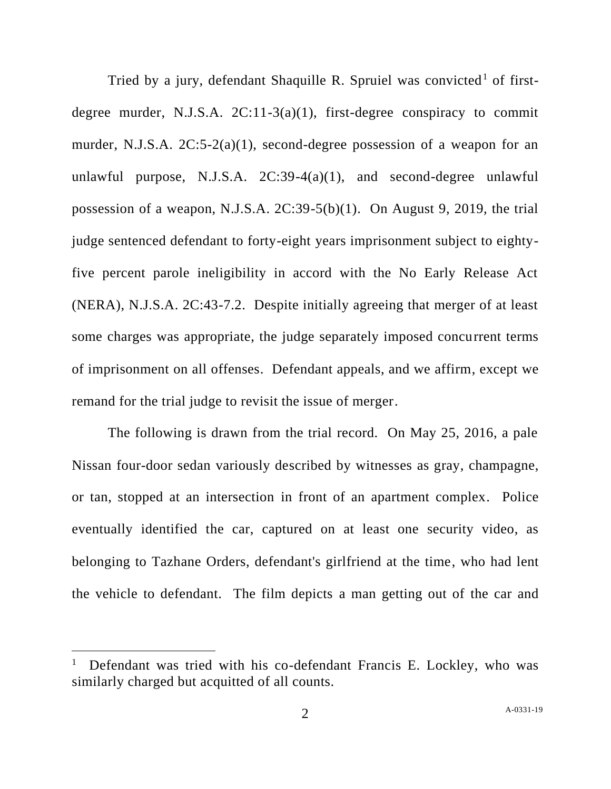Tried by a jury, defendant Shaquille R. Spruiel was convicted<sup>1</sup> of firstdegree murder, N.J.S.A.  $2C:11-3(a)(1)$ , first-degree conspiracy to commit murder, N.J.S.A. 2C:5-2(a)(1), second-degree possession of a weapon for an unlawful purpose, N.J.S.A.  $2C:39-4(a)(1)$ , and second-degree unlawful possession of a weapon, N.J.S.A. 2C:39-5(b)(1). On August 9, 2019, the trial judge sentenced defendant to forty-eight years imprisonment subject to eightyfive percent parole ineligibility in accord with the No Early Release Act (NERA), N.J.S.A. 2C:43-7.2. Despite initially agreeing that merger of at least some charges was appropriate, the judge separately imposed concurrent terms of imprisonment on all offenses. Defendant appeals, and we affirm, except we remand for the trial judge to revisit the issue of merger.

The following is drawn from the trial record. On May 25, 2016, a pale Nissan four-door sedan variously described by witnesses as gray, champagne, or tan, stopped at an intersection in front of an apartment complex. Police eventually identified the car, captured on at least one security video, as belonging to Tazhane Orders, defendant's girlfriend at the time, who had lent the vehicle to defendant. The film depicts a man getting out of the car and

<sup>1</sup> Defendant was tried with his co-defendant Francis E. Lockley, who was similarly charged but acquitted of all counts.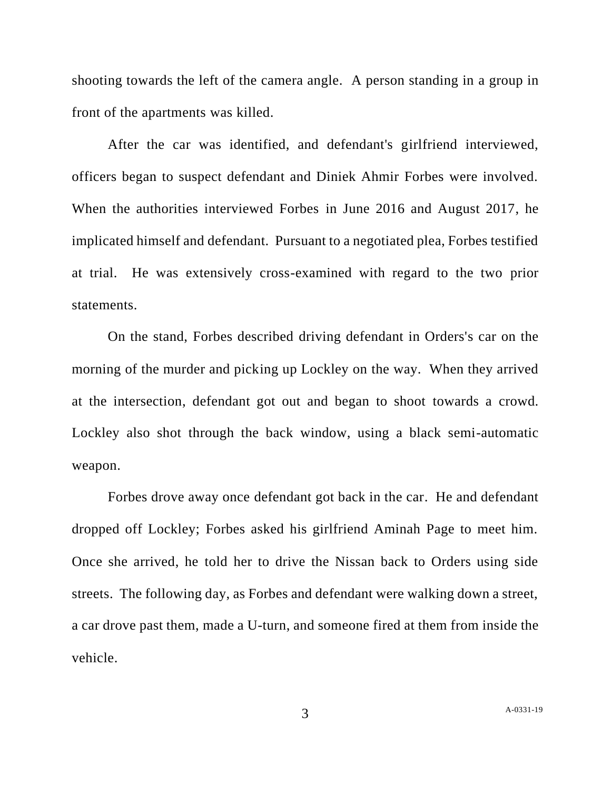shooting towards the left of the camera angle. A person standing in a group in front of the apartments was killed.

After the car was identified, and defendant's girlfriend interviewed, officers began to suspect defendant and Diniek Ahmir Forbes were involved. When the authorities interviewed Forbes in June 2016 and August 2017, he implicated himself and defendant. Pursuant to a negotiated plea, Forbes testified at trial. He was extensively cross-examined with regard to the two prior statements.

On the stand, Forbes described driving defendant in Orders's car on the morning of the murder and picking up Lockley on the way. When they arrived at the intersection, defendant got out and began to shoot towards a crowd. Lockley also shot through the back window, using a black semi-automatic weapon.

Forbes drove away once defendant got back in the car. He and defendant dropped off Lockley; Forbes asked his girlfriend Aminah Page to meet him. Once she arrived, he told her to drive the Nissan back to Orders using side streets. The following day, as Forbes and defendant were walking down a street, a car drove past them, made a U-turn, and someone fired at them from inside the vehicle.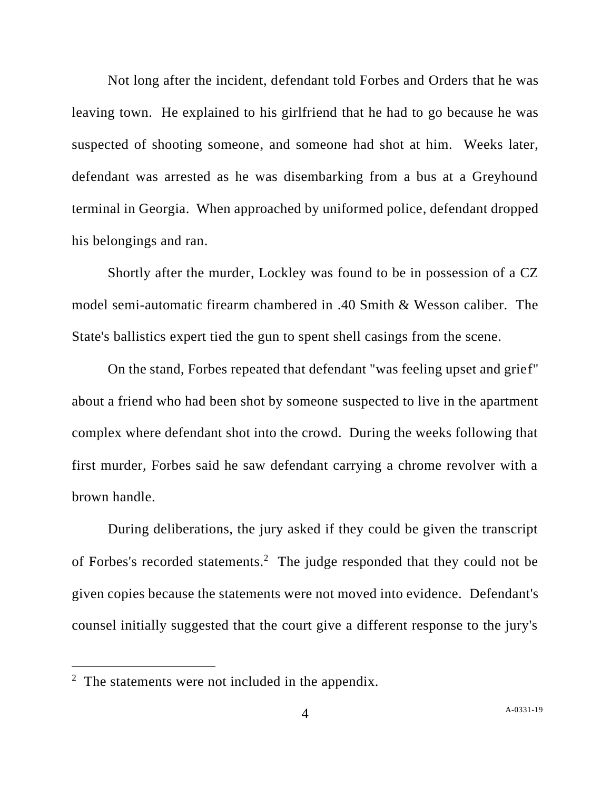Not long after the incident, defendant told Forbes and Orders that he was leaving town. He explained to his girlfriend that he had to go because he was suspected of shooting someone, and someone had shot at him. Weeks later, defendant was arrested as he was disembarking from a bus at a Greyhound terminal in Georgia. When approached by uniformed police, defendant dropped his belongings and ran.

Shortly after the murder, Lockley was found to be in possession of a CZ model semi-automatic firearm chambered in .40 Smith & Wesson caliber. The State's ballistics expert tied the gun to spent shell casings from the scene.

On the stand, Forbes repeated that defendant "was feeling upset and grief" about a friend who had been shot by someone suspected to live in the apartment complex where defendant shot into the crowd. During the weeks following that first murder, Forbes said he saw defendant carrying a chrome revolver with a brown handle.

During deliberations, the jury asked if they could be given the transcript of Forbes's recorded statements. 2 The judge responded that they could not be given copies because the statements were not moved into evidence. Defendant's counsel initially suggested that the court give a different response to the jury's

 $2$  The statements were not included in the appendix.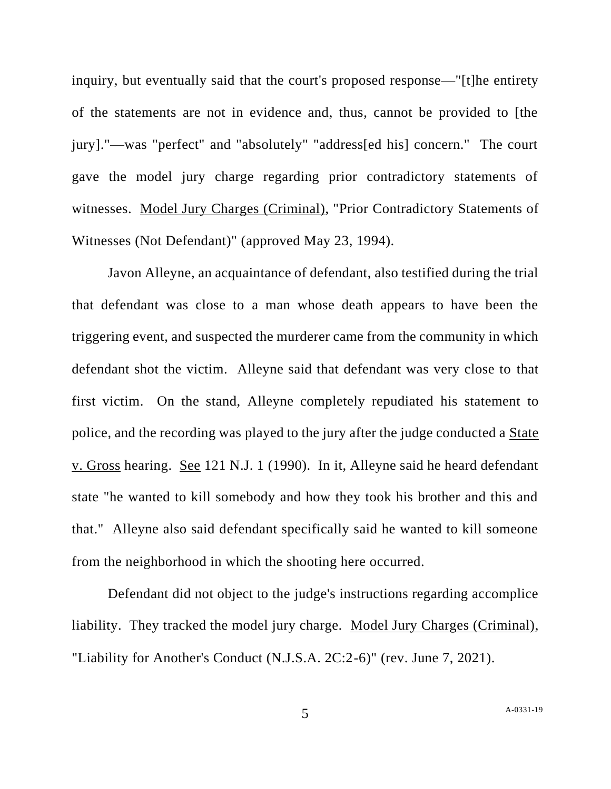inquiry, but eventually said that the court's proposed response—"[t]he entirety of the statements are not in evidence and, thus, cannot be provided to [the jury]."—was "perfect" and "absolutely" "address[ed his] concern." The court gave the model jury charge regarding prior contradictory statements of witnesses. Model Jury Charges (Criminal), "Prior Contradictory Statements of Witnesses (Not Defendant)" (approved May 23, 1994).

Javon Alleyne, an acquaintance of defendant, also testified during the trial that defendant was close to a man whose death appears to have been the triggering event, and suspected the murderer came from the community in which defendant shot the victim. Alleyne said that defendant was very close to that first victim. On the stand, Alleyne completely repudiated his statement to police, and the recording was played to the jury after the judge conducted a State v. Gross hearing. See 121 N.J. 1 (1990). In it, Alleyne said he heard defendant state "he wanted to kill somebody and how they took his brother and this and that." Alleyne also said defendant specifically said he wanted to kill someone from the neighborhood in which the shooting here occurred.

Defendant did not object to the judge's instructions regarding accomplice liability. They tracked the model jury charge. Model Jury Charges (Criminal), "Liability for Another's Conduct (N.J.S.A. 2C:2-6)" (rev. June 7, 2021).

5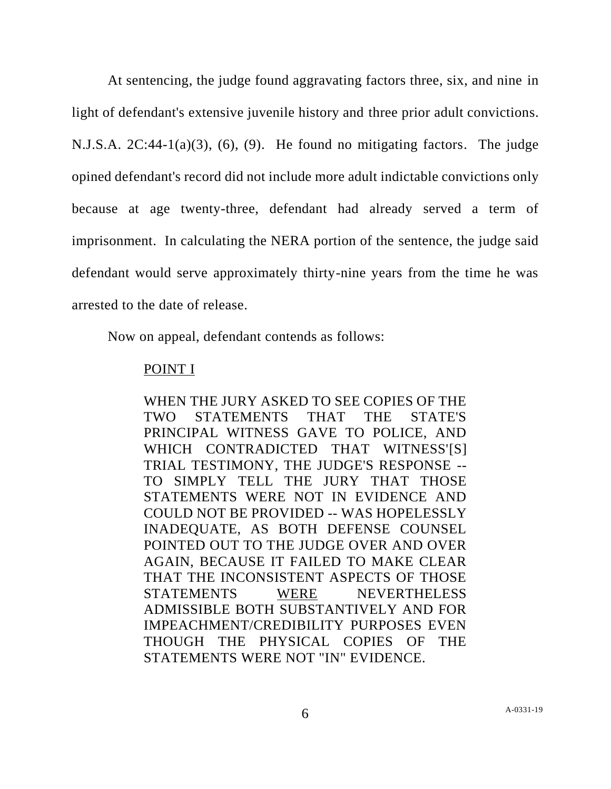At sentencing, the judge found aggravating factors three, six, and nine in light of defendant's extensive juvenile history and three prior adult convictions. N.J.S.A. 2C:44-1(a)(3), (6), (9). He found no mitigating factors. The judge opined defendant's record did not include more adult indictable convictions only because at age twenty-three, defendant had already served a term of imprisonment. In calculating the NERA portion of the sentence, the judge said defendant would serve approximately thirty-nine years from the time he was arrested to the date of release.

Now on appeal, defendant contends as follows:

# POINT I

WHEN THE JURY ASKED TO SEE COPIES OF THE TWO STATEMENTS THAT THE STATE'S PRINCIPAL WITNESS GAVE TO POLICE, AND WHICH CONTRADICTED THAT WITNESS'[S] TRIAL TESTIMONY, THE JUDGE'S RESPONSE -- TO SIMPLY TELL THE JURY THAT THOSE STATEMENTS WERE NOT IN EVIDENCE AND COULD NOT BE PROVIDED -- WAS HOPELESSLY INADEQUATE, AS BOTH DEFENSE COUNSEL POINTED OUT TO THE JUDGE OVER AND OVER AGAIN, BECAUSE IT FAILED TO MAKE CLEAR THAT THE INCONSISTENT ASPECTS OF THOSE STATEMENTS WERE NEVERTHELESS ADMISSIBLE BOTH SUBSTANTIVELY AND FOR IMPEACHMENT/CREDIBILITY PURPOSES EVEN THOUGH THE PHYSICAL COPIES OF THE STATEMENTS WERE NOT "IN" EVIDENCE.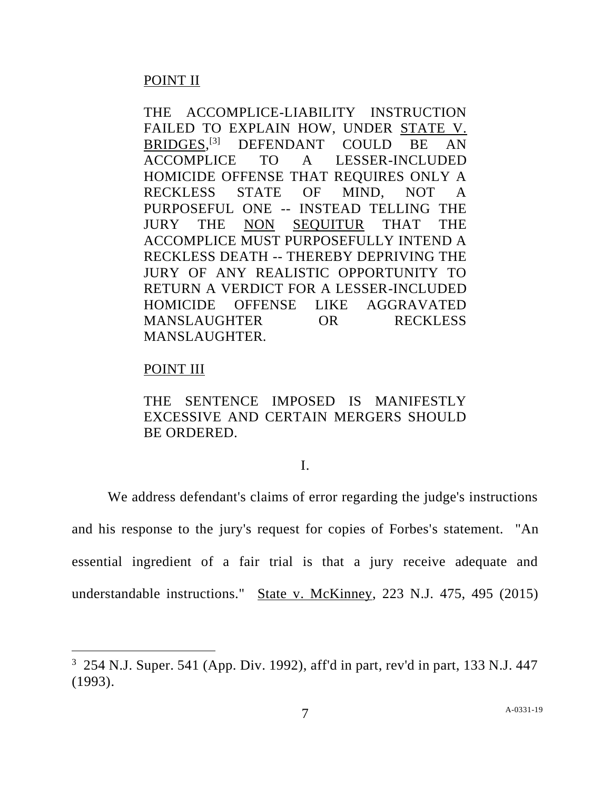# POINT II

THE ACCOMPLICE-LIABILITY INSTRUCTION FAILED TO EXPLAIN HOW, UNDER STATE V. BRIDGES, [3] DEFENDANT COULD BE AN ACCOMPLICE TO A LESSER-INCLUDED HOMICIDE OFFENSE THAT REQUIRES ONLY A RECKLESS STATE OF MIND, NOT A PURPOSEFUL ONE -- INSTEAD TELLING THE JURY THE NON SEQUITUR THAT THE ACCOMPLICE MUST PURPOSEFULLY INTEND A RECKLESS DEATH -- THEREBY DEPRIVING THE JURY OF ANY REALISTIC OPPORTUNITY TO RETURN A VERDICT FOR A LESSER-INCLUDED HOMICIDE OFFENSE LIKE AGGRAVATED MANSLAUGHTER OR RECKLESS MANSLAUGHTER.

# POINT III

THE SENTENCE IMPOSED IS MANIFESTLY EXCESSIVE AND CERTAIN MERGERS SHOULD BE ORDERED.

# I.

We address defendant's claims of error regarding the judge's instructions and his response to the jury's request for copies of Forbes's statement. "An essential ingredient of a fair trial is that a jury receive adequate and understandable instructions." State v. McKinney, 223 N.J. 475, 495 (2015)

 $3\,$  254 N.J. Super. 541 (App. Div. 1992), aff'd in part, rev'd in part, 133 N.J. 447 (1993).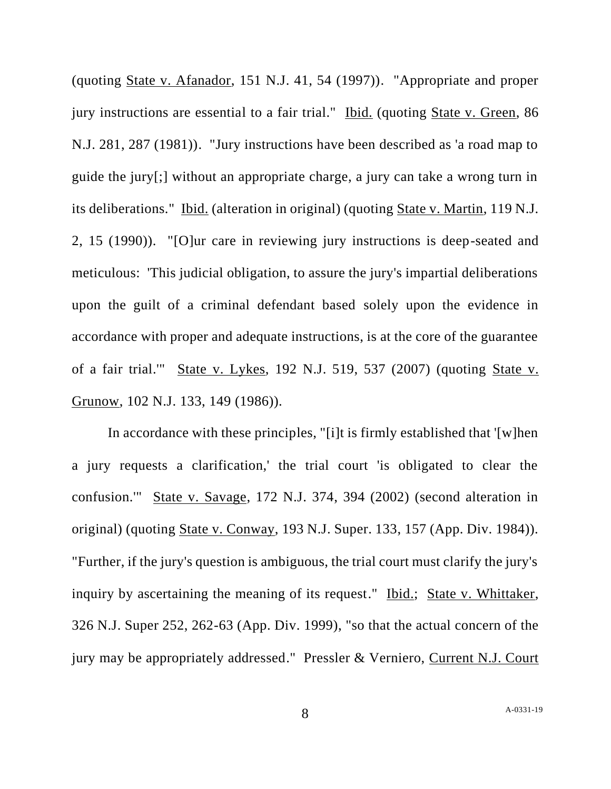(quoting State v. Afanador, 151 N.J. 41, 54 (1997)). "Appropriate and proper jury instructions are essential to a fair trial." Ibid. (quoting State v. Green, 86 N.J. 281, 287 (1981)). "Jury instructions have been described as 'a road map to guide the jury[;] without an appropriate charge, a jury can take a wrong turn in its deliberations." Ibid. (alteration in original) (quoting State v. Martin, 119 N.J. 2, 15 (1990)). "[O]ur care in reviewing jury instructions is deep-seated and meticulous: 'This judicial obligation, to assure the jury's impartial deliberations upon the guilt of a criminal defendant based solely upon the evidence in accordance with proper and adequate instructions, is at the core of the guarantee of a fair trial.'" State v. Lykes, 192 N.J. 519, 537 (2007) (quoting State v. Grunow, 102 N.J. 133, 149 (1986)).

In accordance with these principles, "[i]t is firmly established that '[w]hen a jury requests a clarification,' the trial court 'is obligated to clear the confusion.'" State v. Savage, 172 N.J. 374, 394 (2002) (second alteration in original) (quoting State v. Conway, 193 N.J. Super. 133, 157 (App. Div. 1984)). "Further, if the jury's question is ambiguous, the trial court must clarify the jury's inquiry by ascertaining the meaning of its request." Ibid.; State v. Whittaker, 326 N.J. Super 252, 262-63 (App. Div. 1999), "so that the actual concern of the jury may be appropriately addressed." Pressler & Verniero, Current N.J. Court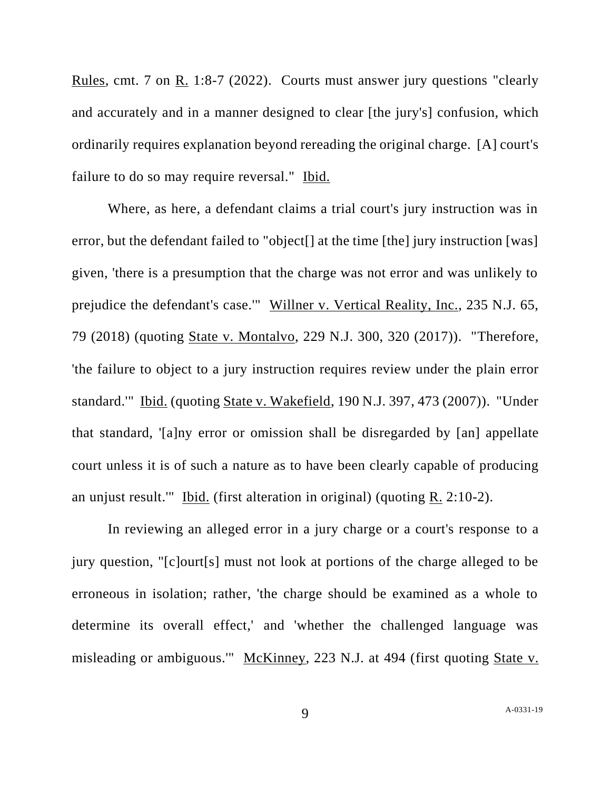Rules, cmt. 7 on R. 1:8-7 (2022). Courts must answer jury questions "clearly and accurately and in a manner designed to clear [the jury's] confusion, which ordinarily requires explanation beyond rereading the original charge. [A] court's failure to do so may require reversal." Ibid.

Where, as here, a defendant claims a trial court's jury instruction was in error, but the defendant failed to "object[] at the time [the] jury instruction [was] given, 'there is a presumption that the charge was not error and was unlikely to prejudice the defendant's case.'" Willner v. Vertical Reality, Inc., 235 N.J. 65, 79 (2018) (quoting State v. Montalvo, 229 N.J. 300, 320 (2017)). "Therefore, 'the failure to object to a jury instruction requires review under the plain error standard.'" Ibid. (quoting State v. Wakefield, 190 N.J. 397, 473 (2007)). "Under that standard, '[a]ny error or omission shall be disregarded by [an] appellate court unless it is of such a nature as to have been clearly capable of producing an unjust result." Ibid. (first alteration in original) (quoting  $R$ , 2:10-2).

In reviewing an alleged error in a jury charge or a court's response to a jury question, "[c]ourt[s] must not look at portions of the charge alleged to be erroneous in isolation; rather, 'the charge should be examined as a whole to determine its overall effect,' and 'whether the challenged language was misleading or ambiguous.'" McKinney, 223 N.J. at 494 (first quoting State v.

9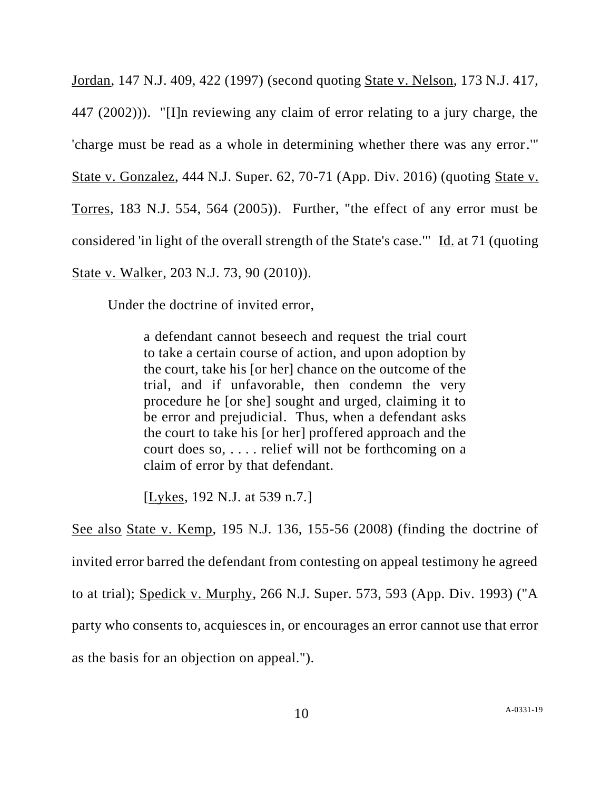Jordan, 147 N.J. 409, 422 (1997) (second quoting State v. Nelson, 173 N.J. 417, 447 (2002))). "[I]n reviewing any claim of error relating to a jury charge, the 'charge must be read as a whole in determining whether there was any error.'" State v. Gonzalez, 444 N.J. Super. 62, 70-71 (App. Div. 2016) (quoting State v. Torres, 183 N.J. 554, 564 (2005)). Further, "the effect of any error must be considered 'in light of the overall strength of the State's case.'" Id. at 71 (quoting State v. Walker, 203 N.J. 73, 90 (2010)).

Under the doctrine of invited error,

a defendant cannot beseech and request the trial court to take a certain course of action, and upon adoption by the court, take his [or her] chance on the outcome of the trial, and if unfavorable, then condemn the very procedure he [or she] sought and urged, claiming it to be error and prejudicial. Thus, when a defendant asks the court to take his [or her] proffered approach and the court does so, . . . . relief will not be forthcoming on a claim of error by that defendant.

[Lykes, 192 N.J. at 539 n.7.]

See also State v. Kemp, 195 N.J. 136, 155-56 (2008) (finding the doctrine of invited error barred the defendant from contesting on appeal testimony he agreed to at trial); Spedick v. Murphy, 266 N.J. Super. 573, 593 (App. Div. 1993) ("A party who consents to, acquiesces in, or encourages an error cannot use that error as the basis for an objection on appeal.").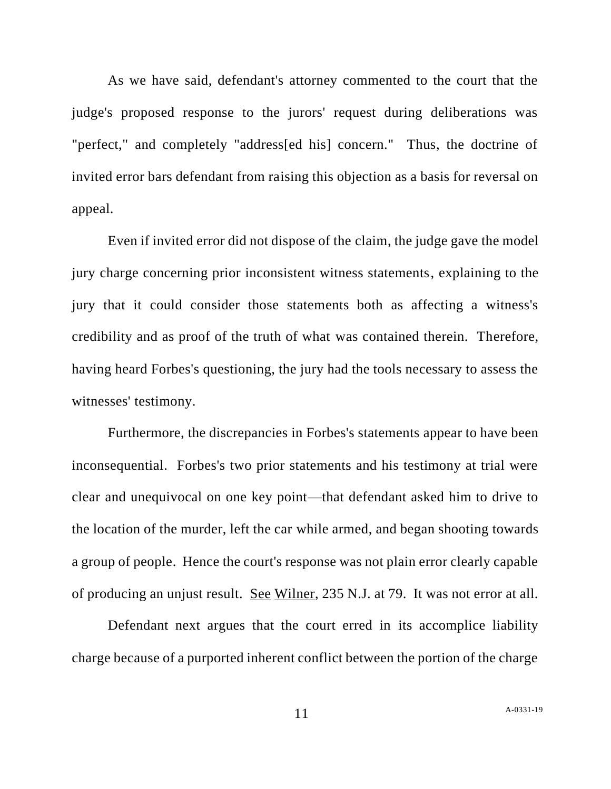As we have said, defendant's attorney commented to the court that the judge's proposed response to the jurors' request during deliberations was "perfect," and completely "address[ed his] concern." Thus, the doctrine of invited error bars defendant from raising this objection as a basis for reversal on appeal.

Even if invited error did not dispose of the claim, the judge gave the model jury charge concerning prior inconsistent witness statements, explaining to the jury that it could consider those statements both as affecting a witness's credibility and as proof of the truth of what was contained therein. Therefore, having heard Forbes's questioning, the jury had the tools necessary to assess the witnesses' testimony.

Furthermore, the discrepancies in Forbes's statements appear to have been inconsequential. Forbes's two prior statements and his testimony at trial were clear and unequivocal on one key point—that defendant asked him to drive to the location of the murder, left the car while armed, and began shooting towards a group of people. Hence the court's response was not plain error clearly capable of producing an unjust result. See Wilner, 235 N.J. at 79. It was not error at all.

Defendant next argues that the court erred in its accomplice liability charge because of a purported inherent conflict between the portion of the charge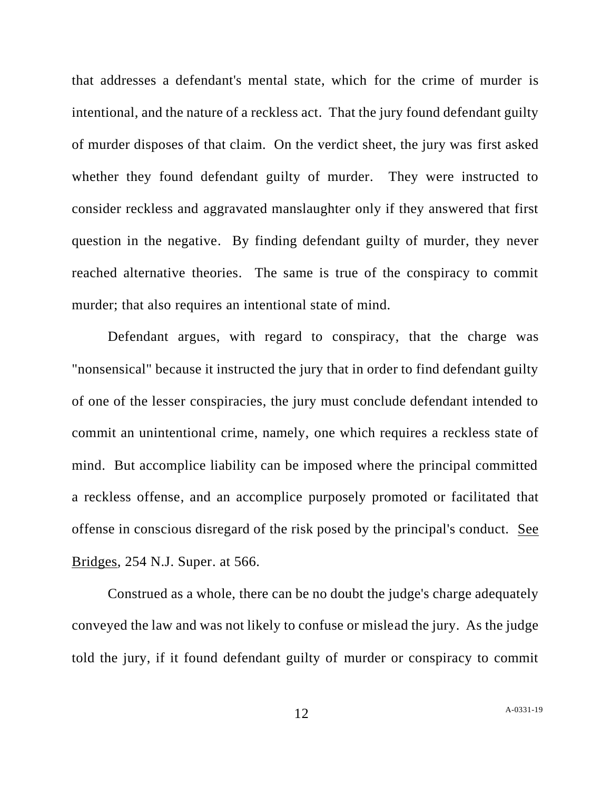that addresses a defendant's mental state, which for the crime of murder is intentional, and the nature of a reckless act. That the jury found defendant guilty of murder disposes of that claim. On the verdict sheet, the jury was first asked whether they found defendant guilty of murder. They were instructed to consider reckless and aggravated manslaughter only if they answered that first question in the negative. By finding defendant guilty of murder, they never reached alternative theories. The same is true of the conspiracy to commit murder; that also requires an intentional state of mind.

Defendant argues, with regard to conspiracy, that the charge was "nonsensical" because it instructed the jury that in order to find defendant guilty of one of the lesser conspiracies, the jury must conclude defendant intended to commit an unintentional crime, namely, one which requires a reckless state of mind. But accomplice liability can be imposed where the principal committed a reckless offense, and an accomplice purposely promoted or facilitated that offense in conscious disregard of the risk posed by the principal's conduct. See Bridges, 254 N.J. Super. at 566.

Construed as a whole, there can be no doubt the judge's charge adequately conveyed the law and was not likely to confuse or mislead the jury. As the judge told the jury, if it found defendant guilty of murder or conspiracy to commit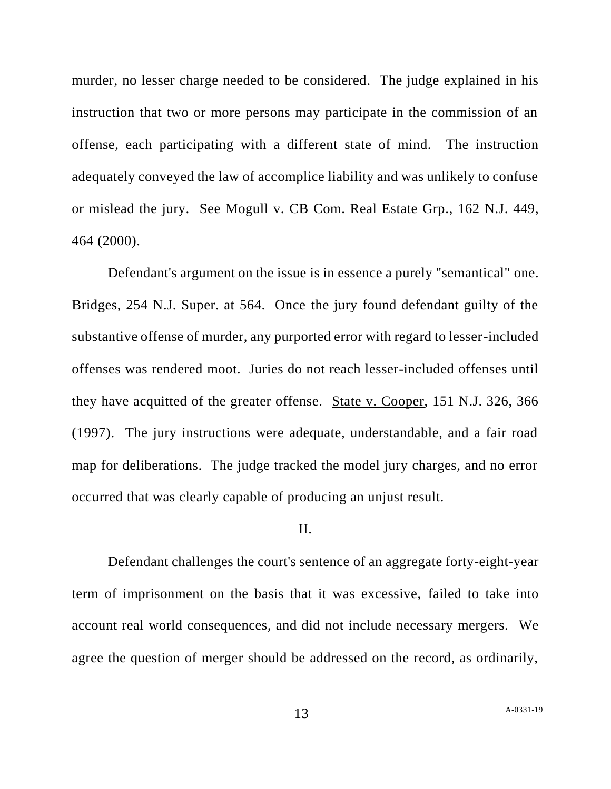murder, no lesser charge needed to be considered. The judge explained in his instruction that two or more persons may participate in the commission of an offense, each participating with a different state of mind. The instruction adequately conveyed the law of accomplice liability and was unlikely to confuse or mislead the jury. See Mogull v. CB Com. Real Estate Grp., 162 N.J. 449, 464 (2000).

Defendant's argument on the issue is in essence a purely "semantical" one. Bridges, 254 N.J. Super. at 564. Once the jury found defendant guilty of the substantive offense of murder, any purported error with regard to lesser-included offenses was rendered moot. Juries do not reach lesser-included offenses until they have acquitted of the greater offense. State v. Cooper, 151 N.J. 326, 366 (1997). The jury instructions were adequate, understandable, and a fair road map for deliberations. The judge tracked the model jury charges, and no error occurred that was clearly capable of producing an unjust result.

#### II.

Defendant challenges the court's sentence of an aggregate forty-eight-year term of imprisonment on the basis that it was excessive, failed to take into account real world consequences, and did not include necessary mergers. We agree the question of merger should be addressed on the record, as ordinarily,